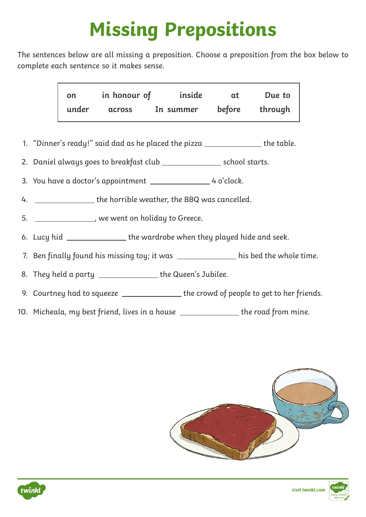## **Missing Prepositions**

The sentences below are all missing a preposition. Choose a preposition from the box below to complete each sentence so it makes sense.

| on    | in honour of  | inside    | αt     | Due to  |
|-------|---------------|-----------|--------|---------|
| under | <b>across</b> | In summer | before | through |

- 1. "Dinner's ready!" said dad as he placed the pizza  $\rule{1em}{0.15mm}$  the table.
- 2. Daniel always goes to breakfast club \_\_\_\_\_\_\_\_\_\_\_\_\_\_\_\_\_ school starts.
- 3. You have a doctor's appointment 1.1 Apr 10.1 May 2010 4 o'clock.
- 4. \_\_\_\_\_\_\_\_\_\_\_\_\_\_\_\_ the horrible weather, the BBQ was cancelled.
- 5. **Juin 2018**, we went on holiday to Greece.
- 6. Lucy hid \_\_\_\_\_\_\_\_\_\_\_\_\_\_\_\_ the wardrobe when they played hide and seek.
- 7. Ben finally found his missing toy; it was \_\_\_\_\_\_\_\_\_\_\_\_\_\_ his bed the whole time.

8. They held a party \_\_\_\_\_\_\_\_\_\_\_\_\_\_\_\_the Queen's Jubilee.

- 9. Courtney had to squeeze \_\_\_\_\_\_\_\_\_\_\_\_\_\_\_ the crowd of people to get to her friends.
- 10. Micheala, my best friend, lives in a house the road from mine.